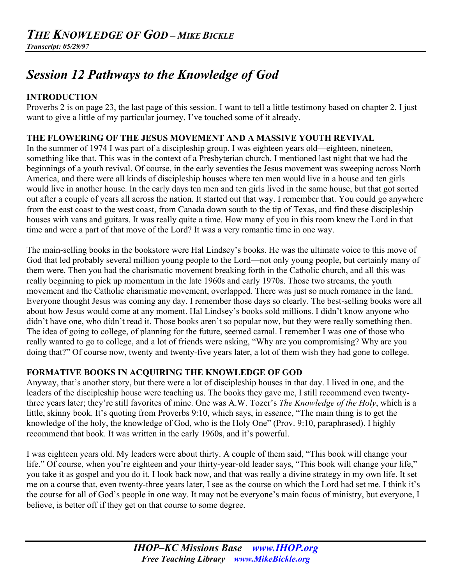# *Session 12 Pathways to the Knowledge of God*

# **INTRODUCTION**

Proverbs 2 is on page 23, the last page of this session. I want to tell a little testimony based on chapter 2. I just want to give a little of my particular journey. I've touched some of it already.

# **THE FLOWERING OF THE JESUS MOVEMENT AND A MASSIVE YOUTH REVIVAL**

In the summer of 1974 I was part of a discipleship group. I was eighteen years old—eighteen, nineteen, something like that. This was in the context of a Presbyterian church. I mentioned last night that we had the beginnings of a youth revival. Of course, in the early seventies the Jesus movement was sweeping across North America, and there were all kinds of discipleship houses where ten men would live in a house and ten girls would live in another house. In the early days ten men and ten girls lived in the same house, but that got sorted out after a couple of years all across the nation. It started out that way. I remember that. You could go anywhere from the east coast to the west coast, from Canada down south to the tip of Texas, and find these discipleship houses with vans and guitars. It was really quite a time. How many of you in this room knew the Lord in that time and were a part of that move of the Lord? It was a very romantic time in one way.

The main-selling books in the bookstore were Hal Lindsey's books. He was the ultimate voice to this move of God that led probably several million young people to the Lord—not only young people, but certainly many of them were. Then you had the charismatic movement breaking forth in the Catholic church, and all this was really beginning to pick up momentum in the late 1960s and early 1970s. Those two streams, the youth movement and the Catholic charismatic movement, overlapped. There was just so much romance in the land. Everyone thought Jesus was coming any day. I remember those days so clearly. The best-selling books were all about how Jesus would come at any moment. Hal Lindsey's books sold millions. I didn't know anyone who didn't have one, who didn't read it. Those books aren't so popular now, but they were really something then. The idea of going to college, of planning for the future, seemed carnal. I remember I was one of those who really wanted to go to college, and a lot of friends were asking, "Why are you compromising? Why are you doing that?" Of course now, twenty and twenty-five years later, a lot of them wish they had gone to college.

# **FORMATIVE BOOKS IN ACQUIRING THE KNOWLEDGE OF GOD**

Anyway, that's another story, but there were a lot of discipleship houses in that day. I lived in one, and the leaders of the discipleship house were teaching us. The books they gave me, I still recommend even twentythree years later; they're still favorites of mine. One was A.W. Tozer's *The Knowledge of the Holy*, which is a little, skinny book. It's quoting from Proverbs 9:10, which says, in essence, "The main thing is to get the knowledge of the holy, the knowledge of God, who is the Holy One" (Prov. 9:10, paraphrased). I highly recommend that book. It was written in the early 1960s, and it's powerful.

I was eighteen years old. My leaders were about thirty. A couple of them said, "This book will change your life." Of course, when you're eighteen and your thirty-year-old leader says, "This book will change your life," you take it as gospel and you do it. I look back now, and that was really a divine strategy in my own life. It set me on a course that, even twenty-three years later, I see as the course on which the Lord had set me. I think it's the course for all of God's people in one way. It may not be everyone's main focus of ministry, but everyone, I believe, is better off if they get on that course to some degree.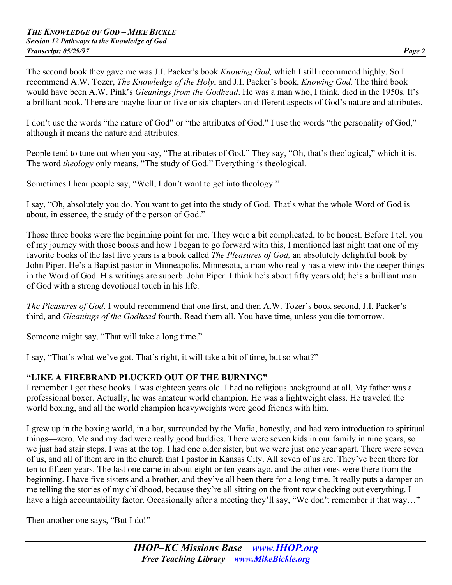The second book they gave me was J.I. Packer's book *Knowing God,* which I still recommend highly. So I recommend A.W. Tozer, *The Knowledge of the Holy*, and J.I. Packer's book, *Knowing God.* The third book would have been A.W. Pink's *Gleanings from the Godhead*. He was a man who, I think, died in the 1950s. It's a brilliant book. There are maybe four or five or six chapters on different aspects of God's nature and attributes.

I don't use the words "the nature of God" or "the attributes of God." I use the words "the personality of God," although it means the nature and attributes.

People tend to tune out when you say, "The attributes of God." They say, "Oh, that's theological," which it is. The word *theology* only means, "The study of God." Everything is theological.

Sometimes I hear people say, "Well, I don't want to get into theology."

I say, "Oh, absolutely you do. You want to get into the study of God. That's what the whole Word of God is about, in essence, the study of the person of God."

Those three books were the beginning point for me. They were a bit complicated, to be honest. Before I tell you of my journey with those books and how I began to go forward with this, I mentioned last night that one of my favorite books of the last five years is a book called *The Pleasures of God,* an absolutely delightful book by John Piper. He's a Baptist pastor in Minneapolis, Minnesota, a man who really has a view into the deeper things in the Word of God. His writings are superb. John Piper. I think he's about fifty years old; he's a brilliant man of God with a strong devotional touch in his life.

*The Pleasures of God*. I would recommend that one first, and then A.W. Tozer's book second, J.I. Packer's third, and *Gleanings of the Godhead* fourth. Read them all. You have time, unless you die tomorrow.

Someone might say, "That will take a long time."

I say, "That's what we've got. That's right, it will take a bit of time, but so what?"

# **"LIKE A FIREBRAND PLUCKED OUT OF THE BURNING"**

I remember I got these books. I was eighteen years old. I had no religious background at all. My father was a professional boxer. Actually, he was amateur world champion. He was a lightweight class. He traveled the world boxing, and all the world champion heavyweights were good friends with him.

I grew up in the boxing world, in a bar, surrounded by the Mafia, honestly, and had zero introduction to spiritual things—zero. Me and my dad were really good buddies. There were seven kids in our family in nine years, so we just had stair steps. I was at the top. I had one older sister, but we were just one year apart. There were seven of us, and all of them are in the church that I pastor in Kansas City. All seven of us are. They've been there for ten to fifteen years. The last one came in about eight or ten years ago, and the other ones were there from the beginning. I have five sisters and a brother, and they've all been there for a long time. It really puts a damper on me telling the stories of my childhood, because they're all sitting on the front row checking out everything. I have a high accountability factor. Occasionally after a meeting they'll say, "We don't remember it that way..."

Then another one says, "But I do!"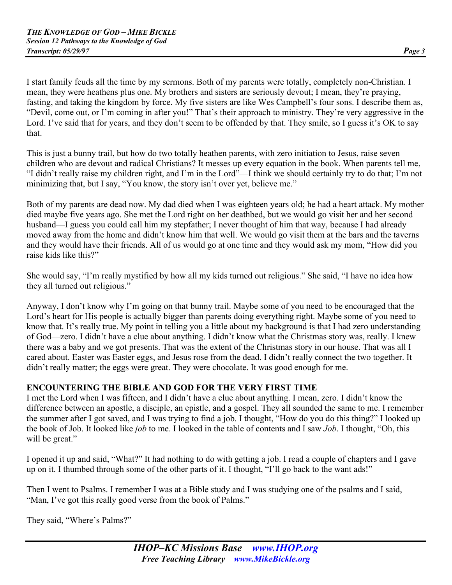I start family feuds all the time by my sermons. Both of my parents were totally, completely non-Christian. I mean, they were heathens plus one. My brothers and sisters are seriously devout; I mean, they're praying, fasting, and taking the kingdom by force. My five sisters are like Wes Campbell's four sons. I describe them as, "Devil, come out, or I'm coming in after you!" That's their approach to ministry. They're very aggressive in the Lord. I've said that for years, and they don't seem to be offended by that. They smile, so I guess it's OK to say that.

This is just a bunny trail, but how do two totally heathen parents, with zero initiation to Jesus, raise seven children who are devout and radical Christians? It messes up every equation in the book. When parents tell me, "I didn't really raise my children right, and I'm in the Lord"—I think we should certainly try to do that; I'm not minimizing that, but I say, "You know, the story isn't over yet, believe me."

Both of my parents are dead now. My dad died when I was eighteen years old; he had a heart attack. My mother died maybe five years ago. She met the Lord right on her deathbed, but we would go visit her and her second husband—I guess you could call him my stepfather; I never thought of him that way, because I had already moved away from the home and didn't know him that well. We would go visit them at the bars and the taverns and they would have their friends. All of us would go at one time and they would ask my mom, "How did you raise kids like this?"

She would say, "I'm really mystified by how all my kids turned out religious." She said, "I have no idea how they all turned out religious."

Anyway, I don't know why I'm going on that bunny trail. Maybe some of you need to be encouraged that the Lord's heart for His people is actually bigger than parents doing everything right. Maybe some of you need to know that. It's really true. My point in telling you a little about my background is that I had zero understanding of God—zero. I didn't have a clue about anything. I didn't know what the Christmas story was, really. I knew there was a baby and we got presents. That was the extent of the Christmas story in our house. That was all I cared about. Easter was Easter eggs, and Jesus rose from the dead. I didn't really connect the two together. It didn't really matter; the eggs were great. They were chocolate. It was good enough for me.

# **ENCOUNTERING THE BIBLE AND GOD FOR THE VERY FIRST TIME**

I met the Lord when I was fifteen, and I didn't have a clue about anything. I mean, zero. I didn't know the difference between an apostle, a disciple, an epistle, and a gospel. They all sounded the same to me. I remember the summer after I got saved, and I was trying to find a job. I thought, "How do you do this thing?" I looked up the book of Job. It looked like *job* to me. I looked in the table of contents and I saw *Job*. I thought, "Oh, this will be great."

I opened it up and said, "What?" It had nothing to do with getting a job. I read a couple of chapters and I gave up on it. I thumbed through some of the other parts of it. I thought, "I'll go back to the want ads!"

Then I went to Psalms. I remember I was at a Bible study and I was studying one of the psalms and I said, "Man, I've got this really good verse from the book of Palms."

They said, "Where's Palms?"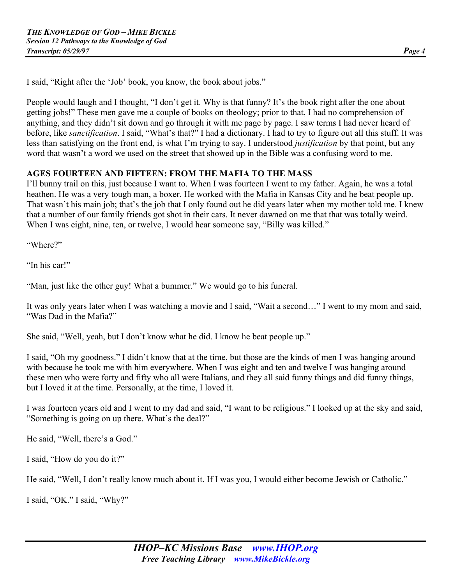I said, "Right after the 'Job' book, you know, the book about jobs."

People would laugh and I thought, "I don't get it. Why is that funny? It's the book right after the one about getting jobs!" These men gave me a couple of books on theology; prior to that, I had no comprehension of anything, and they didn't sit down and go through it with me page by page. I saw terms I had never heard of before, like *sanctification*. I said, "What's that?" I had a dictionary. I had to try to figure out all this stuff. It was less than satisfying on the front end, is what I'm trying to say. I understood *justification* by that point, but any word that wasn't a word we used on the street that showed up in the Bible was a confusing word to me.

#### **AGES FOURTEEN AND FIFTEEN: FROM THE MAFIA TO THE MASS**

I'll bunny trail on this, just because I want to. When I was fourteen I went to my father. Again, he was a total heathen. He was a very tough man, a boxer. He worked with the Mafia in Kansas City and he beat people up. That wasn't his main job; that's the job that I only found out he did years later when my mother told me. I knew that a number of our family friends got shot in their cars. It never dawned on me that that was totally weird. When I was eight, nine, ten, or twelve, I would hear someone say, "Billy was killed."

"Where?"

"In his car!"

"Man, just like the other guy! What a bummer." We would go to his funeral.

It was only years later when I was watching a movie and I said, "Wait a second…" I went to my mom and said, "Was Dad in the Mafia?"

She said, "Well, yeah, but I don't know what he did. I know he beat people up."

I said, "Oh my goodness." I didn't know that at the time, but those are the kinds of men I was hanging around with because he took me with him everywhere. When I was eight and ten and twelve I was hanging around these men who were forty and fifty who all were Italians, and they all said funny things and did funny things, but I loved it at the time. Personally, at the time, I loved it.

I was fourteen years old and I went to my dad and said, "I want to be religious." I looked up at the sky and said, "Something is going on up there. What's the deal?"

He said, "Well, there's a God."

I said, "How do you do it?"

He said, "Well, I don't really know much about it. If I was you, I would either become Jewish or Catholic."

I said, "OK." I said, "Why?"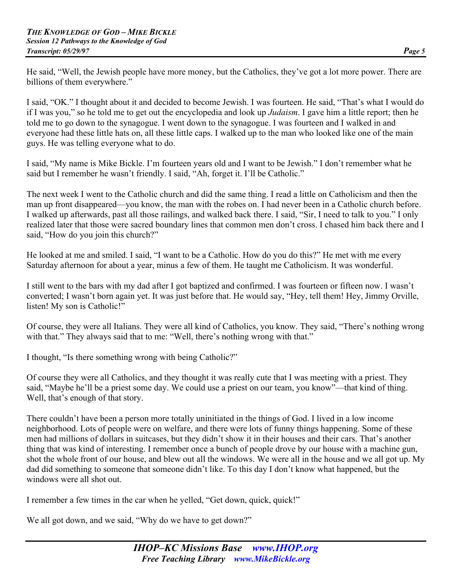He said, "Well, the Jewish people have more money, but the Catholics, they've got a lot more power. There are billions of them everywhere."

I said, "OK." I thought about it and decided to become Jewish. I was fourteen. He said, "That's what I would do if I was you," so he told me to get out the encyclopedia and look up *Judaism*. I gave him a little report; then he told me to go down to the synagogue. I went down to the synagogue. I was fourteen and I walked in and everyone had these little hats on, all these little caps. I walked up to the man who looked like one of the main guys. He was telling everyone what to do.

I said, "My name is Mike Bickle. I'm fourteen years old and I want to be Jewish." I don't remember what he said but I remember he wasn't friendly. I said, "Ah, forget it. I'll be Catholic."

The next week I went to the Catholic church and did the same thing. I read a little on Catholicism and then the man up front disappeared—you know, the man with the robes on. I had never been in a Catholic church before. I walked up afterwards, past all those railings, and walked back there. I said, "Sir, I need to talk to you." I only realized later that those were sacred boundary lines that common men don't cross. I chased him back there and I said, "How do you join this church?"

He looked at me and smiled. I said, "I want to be a Catholic. How do you do this?" He met with me every Saturday afternoon for about a year, minus a few of them. He taught me Catholicism. It was wonderful.

I still went to the bars with my dad after I got baptized and confirmed. I was fourteen or fifteen now. I wasn't converted; I wasn't born again yet. It was just before that. He would say, "Hey, tell them! Hey, Jimmy Orville, listen! My son is Catholic!"

Of course, they were all Italians. They were all kind of Catholics, you know. They said, "There's nothing wrong with that." They always said that to me: "Well, there's nothing wrong with that."

I thought, "Is there something wrong with being Catholic?"

Of course they were all Catholics, and they thought it was really cute that I was meeting with a priest. They said, "Maybe he'll be a priest some day. We could use a priest on our team, you know"—that kind of thing. Well, that's enough of that story.

There couldn't have been a person more totally uninitiated in the things of God. I lived in a low income neighborhood. Lots of people were on welfare, and there were lots of funny things happening. Some of these men had millions of dollars in suitcases, but they didn't show it in their houses and their cars. That's another thing that was kind of interesting. I remember once a bunch of people drove by our house with a machine gun, shot the whole front of our house, and blew out all the windows. We were all in the house and we all got up. My dad did something to someone that someone didn't like. To this day I don't know what happened, but the windows were all shot out.

I remember a few times in the car when he yelled, "Get down, quick, quick!"

We all got down, and we said, "Why do we have to get down?"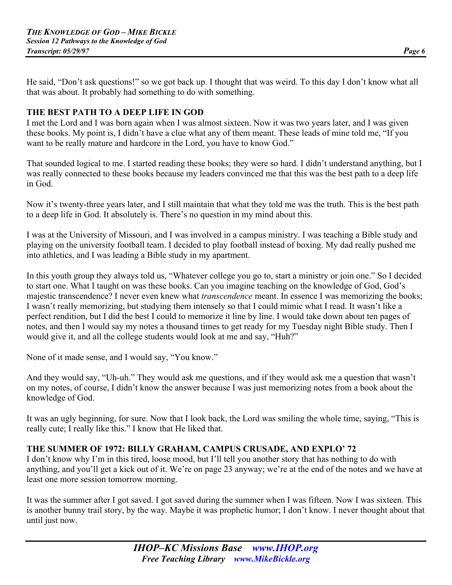He said, "Don't ask questions!" so we got back up. I thought that was weird. To this day I don't know what all that was about. It probably had something to do with something.

#### **THE BEST PATH TO A DEEP LIFE IN GOD**

I met the Lord and I was born again when I was almost sixteen. Now it was two years later, and I was given these books. My point is, I didn't have a clue what any of them meant. These leads of mine told me, "If you want to be really mature and hardcore in the Lord, you have to know God."

That sounded logical to me. I started reading these books; they were so hard. I didn't understand anything, but I was really connected to these books because my leaders convinced me that this was the best path to a deep life in God.

Now it's twenty-three years later, and I still maintain that what they told me was the truth. This is the best path to a deep life in God. It absolutely is. There's no question in my mind about this.

I was at the University of Missouri, and I was involved in a campus ministry. I was teaching a Bible study and playing on the university football team. I decided to play football instead of boxing. My dad really pushed me into athletics, and I was leading a Bible study in my apartment.

In this youth group they always told us, "Whatever college you go to, start a ministry or join one." So I decided to start one. What I taught on was these books. Can you imagine teaching on the knowledge of God, God's majestic transcendence? I never even knew what *transcendence* meant. In essence I was memorizing the books; I wasn't really memorizing, but studying them intensely so that I could mimic what I read. It wasn't like a perfect rendition, but I did the best I could to memorize it line by line. I would take down about ten pages of notes, and then I would say my notes a thousand times to get ready for my Tuesday night Bible study. Then I would give it, and all the college students would look at me and say, "Huh?"

None of it made sense, and I would say, "You know."

And they would say, "Uh-uh." They would ask me questions, and if they would ask me a question that wasn't on my notes, of course, I didn't know the answer because I was just memorizing notes from a book about the knowledge of God.

It was an ugly beginning, for sure. Now that I look back, the Lord was smiling the whole time, saying, "This is really cute; I really like this." I know that He liked that.

# **THE SUMMER OF 1972: BILLY GRAHAM, CAMPUS CRUSADE, AND EXPLO' 72**

I don't know why I'm in this tired, loose mood, but I'll tell you another story that has nothing to do with anything, and you'll get a kick out of it. We're on page 23 anyway; we're at the end of the notes and we have at least one more session tomorrow morning.

It was the summer after I got saved. I got saved during the summer when I was fifteen. Now I was sixteen. This is another bunny trail story, by the way. Maybe it was prophetic humor; I don't know. I never thought about that until just now.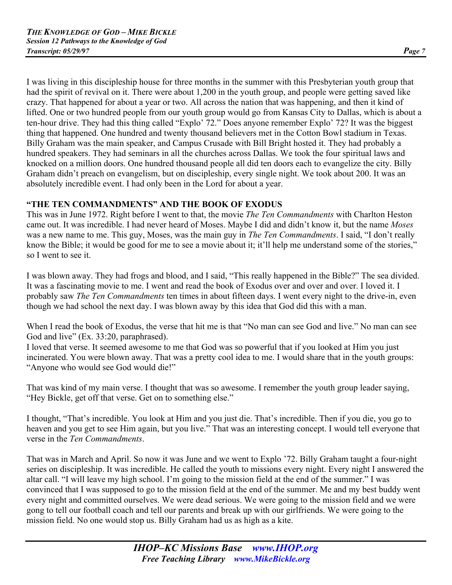I was living in this discipleship house for three months in the summer with this Presbyterian youth group that had the spirit of revival on it. There were about 1,200 in the youth group, and people were getting saved like crazy. That happened for about a year or two. All across the nation that was happening, and then it kind of lifted. One or two hundred people from our youth group would go from Kansas City to Dallas, which is about a ten-hour drive. They had this thing called "Explo' 72." Does anyone remember Explo' 72? It was the biggest thing that happened. One hundred and twenty thousand believers met in the Cotton Bowl stadium in Texas. Billy Graham was the main speaker, and Campus Crusade with Bill Bright hosted it. They had probably a hundred speakers. They had seminars in all the churches across Dallas. We took the four spiritual laws and knocked on a million doors. One hundred thousand people all did ten doors each to evangelize the city. Billy Graham didn't preach on evangelism, but on discipleship, every single night. We took about 200. It was an absolutely incredible event. I had only been in the Lord for about a year.

# **"THE TEN COMMANDMENTS" AND THE BOOK OF EXODUS**

This was in June 1972. Right before I went to that, the movie *The Ten Commandments* with Charlton Heston came out. It was incredible. I had never heard of Moses. Maybe I did and didn't know it, but the name *Moses* was a new name to me. This guy, Moses, was the main guy in *The Ten Commandments*. I said, "I don't really know the Bible; it would be good for me to see a movie about it; it'll help me understand some of the stories," so I went to see it.

I was blown away. They had frogs and blood, and I said, "This really happened in the Bible?" The sea divided. It was a fascinating movie to me. I went and read the book of Exodus over and over and over. I loved it. I probably saw *The Ten Commandments* ten times in about fifteen days. I went every night to the drive-in, even though we had school the next day. I was blown away by this idea that God did this with a man.

When I read the book of Exodus, the verse that hit me is that "No man can see God and live." No man can see God and live" (Ex. 33:20, paraphrased).

I loved that verse. It seemed awesome to me that God was so powerful that if you looked at Him you just incinerated. You were blown away. That was a pretty cool idea to me. I would share that in the youth groups: "Anyone who would see God would die!"

That was kind of my main verse. I thought that was so awesome. I remember the youth group leader saying, "Hey Bickle, get off that verse. Get on to something else."

I thought, "That's incredible. You look at Him and you just die. That's incredible. Then if you die, you go to heaven and you get to see Him again, but you live." That was an interesting concept. I would tell everyone that verse in the *Ten Commandments*.

That was in March and April. So now it was June and we went to Explo '72. Billy Graham taught a four-night series on discipleship. It was incredible. He called the youth to missions every night. Every night I answered the altar call. "I will leave my high school. I'm going to the mission field at the end of the summer." I was convinced that I was supposed to go to the mission field at the end of the summer. Me and my best buddy went every night and committed ourselves. We were dead serious. We were going to the mission field and we were gong to tell our football coach and tell our parents and break up with our girlfriends. We were going to the mission field. No one would stop us. Billy Graham had us as high as a kite.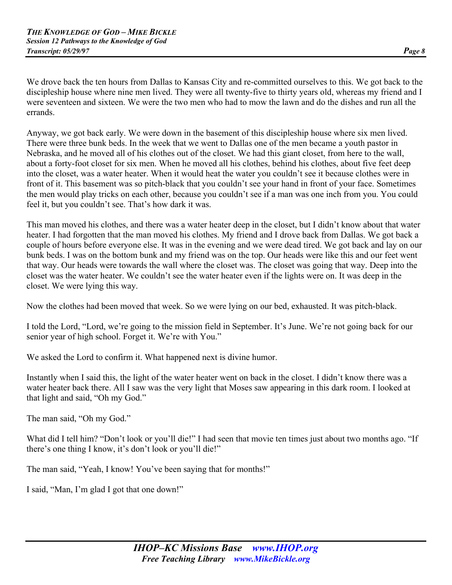We drove back the ten hours from Dallas to Kansas City and re-committed ourselves to this. We got back to the discipleship house where nine men lived. They were all twenty-five to thirty years old, whereas my friend and I were seventeen and sixteen. We were the two men who had to mow the lawn and do the dishes and run all the errands.

Anyway, we got back early. We were down in the basement of this discipleship house where six men lived. There were three bunk beds. In the week that we went to Dallas one of the men became a youth pastor in Nebraska, and he moved all of his clothes out of the closet. We had this giant closet, from here to the wall, about a forty-foot closet for six men. When he moved all his clothes, behind his clothes, about five feet deep into the closet, was a water heater. When it would heat the water you couldn't see it because clothes were in front of it. This basement was so pitch-black that you couldn't see your hand in front of your face. Sometimes the men would play tricks on each other, because you couldn't see if a man was one inch from you. You could feel it, but you couldn't see. That's how dark it was.

This man moved his clothes, and there was a water heater deep in the closet, but I didn't know about that water heater. I had forgotten that the man moved his clothes. My friend and I drove back from Dallas. We got back a couple of hours before everyone else. It was in the evening and we were dead tired. We got back and lay on our bunk beds. I was on the bottom bunk and my friend was on the top. Our heads were like this and our feet went that way. Our heads were towards the wall where the closet was. The closet was going that way. Deep into the closet was the water heater. We couldn't see the water heater even if the lights were on. It was deep in the closet. We were lying this way.

Now the clothes had been moved that week. So we were lying on our bed, exhausted. It was pitch-black.

I told the Lord, "Lord, we're going to the mission field in September. It's June. We're not going back for our senior year of high school. Forget it. We're with You."

We asked the Lord to confirm it. What happened next is divine humor.

Instantly when I said this, the light of the water heater went on back in the closet. I didn't know there was a water heater back there. All I saw was the very light that Moses saw appearing in this dark room. I looked at that light and said, "Oh my God."

The man said, "Oh my God."

What did I tell him? "Don't look or you'll die!" I had seen that movie ten times just about two months ago. "If there's one thing I know, it's don't look or you'll die!"

The man said, "Yeah, I know! You've been saying that for months!"

I said, "Man, I'm glad I got that one down!"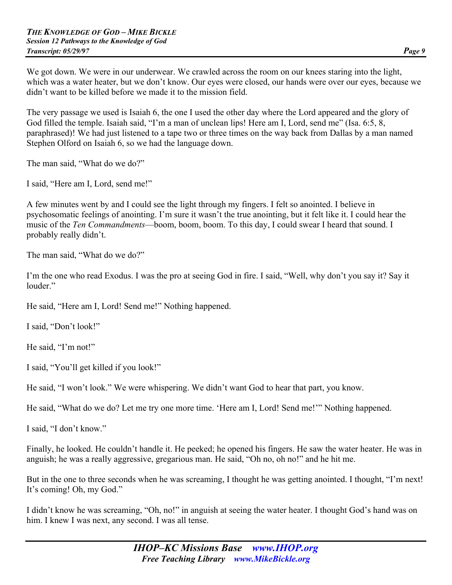We got down. We were in our underwear. We crawled across the room on our knees staring into the light, which was a water heater, but we don't know. Our eyes were closed, our hands were over our eyes, because we didn't want to be killed before we made it to the mission field.

The very passage we used is Isaiah 6, the one I used the other day where the Lord appeared and the glory of God filled the temple. Isaiah said, "I'm a man of unclean lips! Here am I, Lord, send me" (Isa. 6:5, 8, paraphrased)! We had just listened to a tape two or three times on the way back from Dallas by a man named Stephen Olford on Isaiah 6, so we had the language down.

The man said, "What do we do?"

I said, "Here am I, Lord, send me!"

A few minutes went by and I could see the light through my fingers. I felt so anointed. I believe in psychosomatic feelings of anointing. I'm sure it wasn't the true anointing, but it felt like it. I could hear the music of the *Ten Commandments*—boom, boom, boom. To this day, I could swear I heard that sound. I probably really didn't.

The man said, "What do we do?"

I'm the one who read Exodus. I was the pro at seeing God in fire. I said, "Well, why don't you say it? Say it louder"

He said, "Here am I, Lord! Send me!" Nothing happened.

I said, "Don't look!"

He said, "I'm not!"

I said, "You'll get killed if you look!"

He said, "I won't look." We were whispering. We didn't want God to hear that part, you know.

He said, "What do we do? Let me try one more time. 'Here am I, Lord! Send me!'" Nothing happened.

I said, "I don't know."

Finally, he looked. He couldn't handle it. He peeked; he opened his fingers. He saw the water heater. He was in anguish; he was a really aggressive, gregarious man. He said, "Oh no, oh no!" and he hit me.

But in the one to three seconds when he was screaming, I thought he was getting anointed. I thought, "I'm next! It's coming! Oh, my God."

I didn't know he was screaming, "Oh, no!" in anguish at seeing the water heater. I thought God's hand was on him. I knew I was next, any second. I was all tense.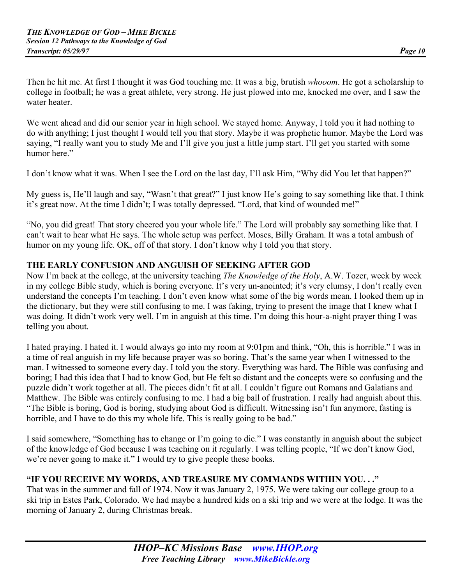Then he hit me. At first I thought it was God touching me. It was a big, brutish *whooom*. He got a scholarship to college in football; he was a great athlete, very strong. He just plowed into me, knocked me over, and I saw the water heater.

We went ahead and did our senior year in high school. We stayed home. Anyway, I told you it had nothing to do with anything; I just thought I would tell you that story. Maybe it was prophetic humor. Maybe the Lord was saying, "I really want you to study Me and I'll give you just a little jump start. I'll get you started with some humor here."

I don't know what it was. When I see the Lord on the last day, I'll ask Him, "Why did You let that happen?"

My guess is, He'll laugh and say, "Wasn't that great?" I just know He's going to say something like that. I think it's great now. At the time I didn't; I was totally depressed. "Lord, that kind of wounded me!"

"No, you did great! That story cheered you your whole life." The Lord will probably say something like that. I can't wait to hear what He says. The whole setup was perfect. Moses, Billy Graham. It was a total ambush of humor on my young life. OK, off of that story. I don't know why I told you that story.

# **THE EARLY CONFUSION AND ANGUISH OF SEEKING AFTER GOD**

Now I'm back at the college, at the university teaching *The Knowledge of the Holy*, A.W. Tozer, week by week in my college Bible study, which is boring everyone. It's very un-anointed; it's very clumsy, I don't really even understand the concepts I'm teaching. I don't even know what some of the big words mean. I looked them up in the dictionary, but they were still confusing to me. I was faking, trying to present the image that I knew what I was doing. It didn't work very well. I'm in anguish at this time. I'm doing this hour-a-night prayer thing I was telling you about.

I hated praying. I hated it. I would always go into my room at 9:01pm and think, "Oh, this is horrible." I was in a time of real anguish in my life because prayer was so boring. That's the same year when I witnessed to the man. I witnessed to someone every day. I told you the story. Everything was hard. The Bible was confusing and boring; I had this idea that I had to know God, but He felt so distant and the concepts were so confusing and the puzzle didn't work together at all. The pieces didn't fit at all. I couldn't figure out Romans and Galatians and Matthew. The Bible was entirely confusing to me. I had a big ball of frustration. I really had anguish about this. "The Bible is boring, God is boring, studying about God is difficult. Witnessing isn't fun anymore, fasting is horrible, and I have to do this my whole life. This is really going to be bad."

I said somewhere, "Something has to change or I'm going to die." I was constantly in anguish about the subject of the knowledge of God because I was teaching on it regularly. I was telling people, "If we don't know God, we're never going to make it." I would try to give people these books.

#### **"IF YOU RECEIVE MY WORDS, AND TREASURE MY COMMANDS WITHIN YOU. . ."**

That was in the summer and fall of 1974. Now it was January 2, 1975. We were taking our college group to a ski trip in Estes Park, Colorado. We had maybe a hundred kids on a ski trip and we were at the lodge. It was the morning of January 2, during Christmas break.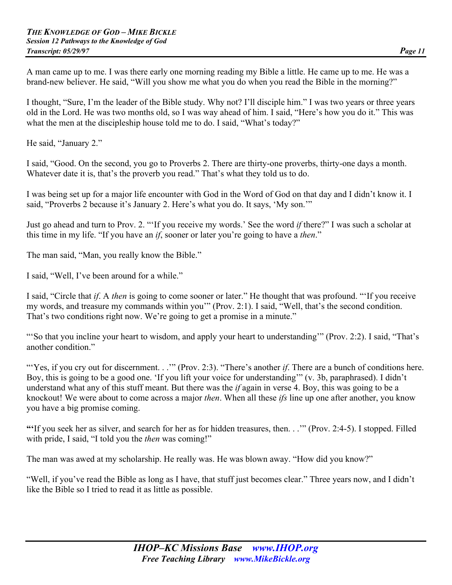A man came up to me. I was there early one morning reading my Bible a little. He came up to me. He was a brand-new believer. He said, "Will you show me what you do when you read the Bible in the morning?"

I thought, "Sure, I'm the leader of the Bible study. Why not? I'll disciple him." I was two years or three years old in the Lord. He was two months old, so I was way ahead of him. I said, "Here's how you do it." This was what the men at the discipleship house told me to do. I said, "What's today?"

He said, "January 2."

I said, "Good. On the second, you go to Proverbs 2. There are thirty-one proverbs, thirty-one days a month. Whatever date it is, that's the proverb you read." That's what they told us to do.

I was being set up for a major life encounter with God in the Word of God on that day and I didn't know it. I said, "Proverbs 2 because it's January 2. Here's what you do. It says, 'My son.'"

Just go ahead and turn to Prov. 2. "'If you receive my words.' See the word *if* there?" I was such a scholar at this time in my life. "If you have an *if*, sooner or later you're going to have a *then*."

The man said, "Man, you really know the Bible."

I said, "Well, I've been around for a while."

I said, "Circle that *if*. A *then* is going to come sooner or later." He thought that was profound. "'If you receive my words, and treasure my commands within you'" (Prov. 2:1). I said, "Well, that's the second condition. That's two conditions right now. We're going to get a promise in a minute."

"'So that you incline your heart to wisdom, and apply your heart to understanding'" (Prov. 2:2). I said, "That's another condition."

"Yes, if you cry out for discernment. . .'" (Prov. 2:3). "There's another *if*. There are a bunch of conditions here. Boy, this is going to be a good one. 'If you lift your voice for understanding'" (v. 3b, paraphrased). I didn't understand what any of this stuff meant. But there was the *if* again in verse 4. Boy, this was going to be a knockout! We were about to come across a major *then*. When all these *ifs* line up one after another, you know you have a big promise coming.

**"'**If you seek her as silver, and search for her as for hidden treasures, then. . .'" (Prov. 2:4-5). I stopped. Filled with pride, I said, "I told you the *then* was coming!"

The man was awed at my scholarship. He really was. He was blown away. "How did you know?"

"Well, if you've read the Bible as long as I have, that stuff just becomes clear." Three years now, and I didn't like the Bible so I tried to read it as little as possible.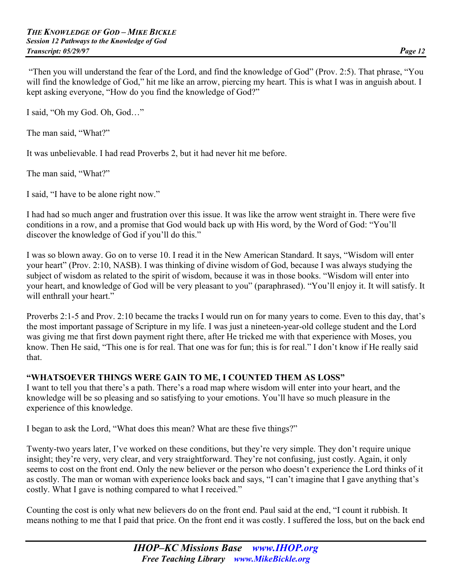"Then you will understand the fear of the Lord, and find the knowledge of God" (Prov. 2:5). That phrase, "You will find the knowledge of God," hit me like an arrow, piercing my heart. This is what I was in anguish about. I kept asking everyone, "How do you find the knowledge of God?"

I said, "Oh my God. Oh, God…"

The man said, "What?"

It was unbelievable. I had read Proverbs 2, but it had never hit me before.

The man said, "What?"

I said, "I have to be alone right now."

I had had so much anger and frustration over this issue. It was like the arrow went straight in. There were five conditions in a row, and a promise that God would back up with His word, by the Word of God: "You'll discover the knowledge of God if you'll do this."

I was so blown away. Go on to verse 10. I read it in the New American Standard. It says, "Wisdom will enter your heart" (Prov. 2:10, NASB). I was thinking of divine wisdom of God, because I was always studying the subject of wisdom as related to the spirit of wisdom, because it was in those books. "Wisdom will enter into your heart, and knowledge of God will be very pleasant to you" (paraphrased). "You'll enjoy it. It will satisfy. It will enthrall your heart."

Proverbs 2:1-5 and Prov. 2:10 became the tracks I would run on for many years to come. Even to this day, that's the most important passage of Scripture in my life. I was just a nineteen-year-old college student and the Lord was giving me that first down payment right there, after He tricked me with that experience with Moses, you know. Then He said, "This one is for real. That one was for fun; this is for real." I don't know if He really said that.

# **"WHATSOEVER THINGS WERE GAIN TO ME, I COUNTED THEM AS LOSS"**

I want to tell you that there's a path. There's a road map where wisdom will enter into your heart, and the knowledge will be so pleasing and so satisfying to your emotions. You'll have so much pleasure in the experience of this knowledge.

I began to ask the Lord, "What does this mean? What are these five things?"

Twenty-two years later, I've worked on these conditions, but they're very simple. They don't require unique insight; they're very, very clear, and very straightforward. They're not confusing, just costly. Again, it only seems to cost on the front end. Only the new believer or the person who doesn't experience the Lord thinks of it as costly. The man or woman with experience looks back and says, "I can't imagine that I gave anything that's costly. What I gave is nothing compared to what I received."

Counting the cost is only what new believers do on the front end. Paul said at the end, "I count it rubbish. It means nothing to me that I paid that price. On the front end it was costly. I suffered the loss, but on the back end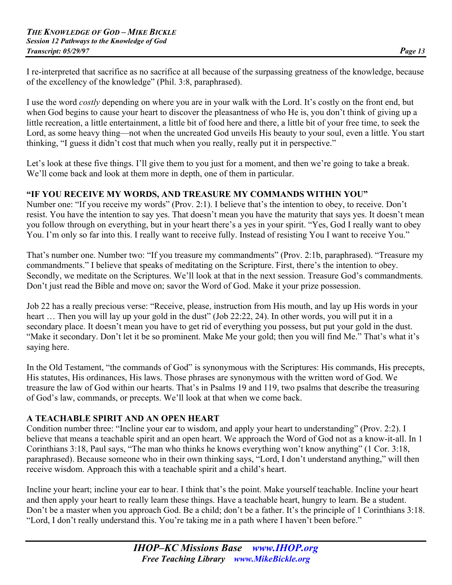I re-interpreted that sacrifice as no sacrifice at all because of the surpassing greatness of the knowledge, because of the excellency of the knowledge" (Phil. 3:8, paraphrased).

I use the word *costly* depending on where you are in your walk with the Lord. It's costly on the front end, but when God begins to cause your heart to discover the pleasantness of who He is, you don't think of giving up a little recreation, a little entertainment, a little bit of food here and there, a little bit of your free time, to seek the Lord, as some heavy thing—not when the uncreated God unveils His beauty to your soul, even a little. You start thinking, "I guess it didn't cost that much when you really, really put it in perspective."

Let's look at these five things. I'll give them to you just for a moment, and then we're going to take a break. We'll come back and look at them more in depth, one of them in particular.

# **"IF YOU RECEIVE MY WORDS, AND TREASURE MY COMMANDS WITHIN YOU"**

Number one: "If you receive my words" (Prov. 2:1). I believe that's the intention to obey, to receive. Don't resist. You have the intention to say yes. That doesn't mean you have the maturity that says yes. It doesn't mean you follow through on everything, but in your heart there's a yes in your spirit. "Yes, God I really want to obey You. I'm only so far into this. I really want to receive fully. Instead of resisting You I want to receive You."

That's number one. Number two: "If you treasure my commandments" (Prov. 2:1b, paraphrased). "Treasure my commandments." I believe that speaks of meditating on the Scripture. First, there's the intention to obey. Secondly, we meditate on the Scriptures. We'll look at that in the next session. Treasure God's commandments. Don't just read the Bible and move on; savor the Word of God. Make it your prize possession.

Job 22 has a really precious verse: "Receive, please, instruction from His mouth, and lay up His words in your heart ... Then you will lay up your gold in the dust" (Job 22:22, 24). In other words, you will put it in a secondary place. It doesn't mean you have to get rid of everything you possess, but put your gold in the dust. "Make it secondary. Don't let it be so prominent. Make Me your gold; then you will find Me." That's what it's saying here.

In the Old Testament, "the commands of God" is synonymous with the Scriptures: His commands, His precepts, His statutes, His ordinances, His laws. Those phrases are synonymous with the written word of God. We treasure the law of God within our hearts. That's in Psalms 19 and 119, two psalms that describe the treasuring of God's law, commands, or precepts. We'll look at that when we come back.

# **A TEACHABLE SPIRIT AND AN OPEN HEART**

Condition number three: "Incline your ear to wisdom, and apply your heart to understanding" (Prov. 2:2). I believe that means a teachable spirit and an open heart. We approach the Word of God not as a know-it-all. In 1 Corinthians 3:18, Paul says, "The man who thinks he knows everything won't know anything" (1 Cor. 3:18, paraphrased). Because someone who in their own thinking says, "Lord, I don't understand anything," will then receive wisdom. Approach this with a teachable spirit and a child's heart.

Incline your heart; incline your ear to hear. I think that's the point. Make yourself teachable. Incline your heart and then apply your heart to really learn these things. Have a teachable heart, hungry to learn. Be a student. Don't be a master when you approach God. Be a child; don't be a father. It's the principle of 1 Corinthians 3:18. "Lord, I don't really understand this. You're taking me in a path where I haven't been before."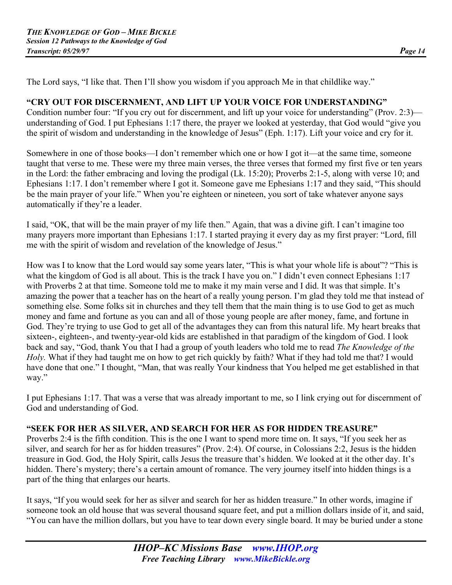The Lord says, "I like that. Then I'll show you wisdom if you approach Me in that childlike way."

# **"CRY OUT FOR DISCERNMENT, AND LIFT UP YOUR VOICE FOR UNDERSTANDING"**

Condition number four: "If you cry out for discernment, and lift up your voice for understanding" (Prov. 2:3) understanding of God. I put Ephesians 1:17 there, the prayer we looked at yesterday, that God would "give you the spirit of wisdom and understanding in the knowledge of Jesus" (Eph. 1:17). Lift your voice and cry for it.

Somewhere in one of those books—I don't remember which one or how I got it—at the same time, someone taught that verse to me. These were my three main verses, the three verses that formed my first five or ten years in the Lord: the father embracing and loving the prodigal (Lk. 15:20); Proverbs 2:1-5, along with verse 10; and Ephesians 1:17. I don't remember where I got it. Someone gave me Ephesians 1:17 and they said, "This should be the main prayer of your life." When you're eighteen or nineteen, you sort of take whatever anyone says automatically if they're a leader.

I said, "OK, that will be the main prayer of my life then." Again, that was a divine gift. I can't imagine too many prayers more important than Ephesians 1:17. I started praying it every day as my first prayer: "Lord, fill me with the spirit of wisdom and revelation of the knowledge of Jesus."

How was I to know that the Lord would say some years later, "This is what your whole life is about"? "This is what the kingdom of God is all about. This is the track I have you on." I didn't even connect Ephesians 1:17 with Proverbs 2 at that time. Someone told me to make it my main verse and I did. It was that simple. It's amazing the power that a teacher has on the heart of a really young person. I'm glad they told me that instead of something else. Some folks sit in churches and they tell them that the main thing is to use God to get as much money and fame and fortune as you can and all of those young people are after money, fame, and fortune in God. They're trying to use God to get all of the advantages they can from this natural life. My heart breaks that sixteen-, eighteen-, and twenty-year-old kids are established in that paradigm of the kingdom of God. I look back and say, "God, thank You that I had a group of youth leaders who told me to read *The Knowledge of the Holy.* What if they had taught me on how to get rich quickly by faith? What if they had told me that? I would have done that one." I thought, "Man, that was really Your kindness that You helped me get established in that way."

I put Ephesians 1:17. That was a verse that was already important to me, so I link crying out for discernment of God and understanding of God.

# **"SEEK FOR HER AS SILVER, AND SEARCH FOR HER AS FOR HIDDEN TREASURE"**

Proverbs 2:4 is the fifth condition. This is the one I want to spend more time on. It says, "If you seek her as silver, and search for her as for hidden treasures" (Prov. 2:4). Of course, in Colossians 2:2, Jesus is the hidden treasure in God. God, the Holy Spirit, calls Jesus the treasure that's hidden. We looked at it the other day. It's hidden. There's mystery; there's a certain amount of romance. The very journey itself into hidden things is a part of the thing that enlarges our hearts.

It says, "If you would seek for her as silver and search for her as hidden treasure." In other words, imagine if someone took an old house that was several thousand square feet, and put a million dollars inside of it, and said, "You can have the million dollars, but you have to tear down every single board. It may be buried under a stone